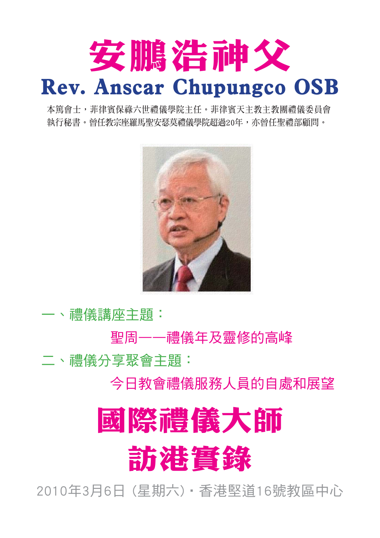安鵬浩神父 Rev. Anscar Chupungco OSB

本篤會士,菲律賓保祿六世禮儀學院主任。菲律賓天主教主教團禮儀委員會 執行秘書。曾任教宗座羅馬聖安瑟莫禮儀學院超過20年,亦曾任聖禮部顧問。



一、禮儀講座主題:

聖周——禮儀年及靈修的高峰

二、禮儀分享聚會主題:

今日教會禮儀服務人員的自處和展望

# 國際禮儀大師 訪港實錄

2010年3月6日 (星期六)‧香港堅道16號教區中心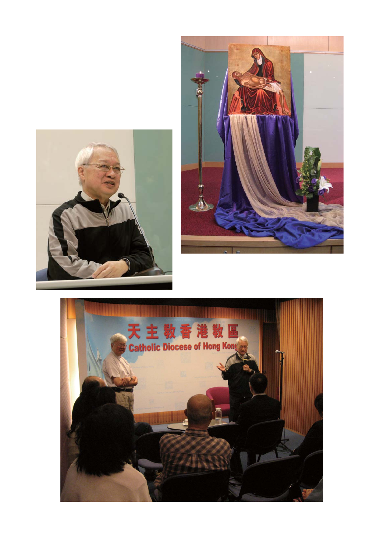



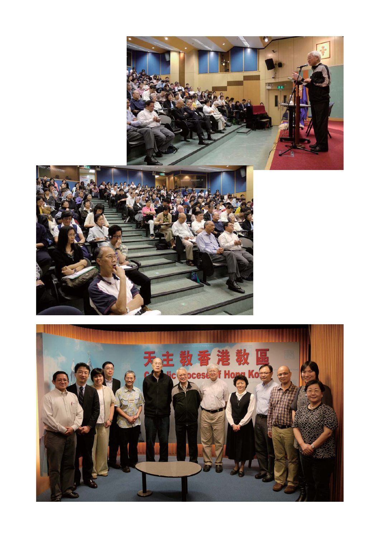



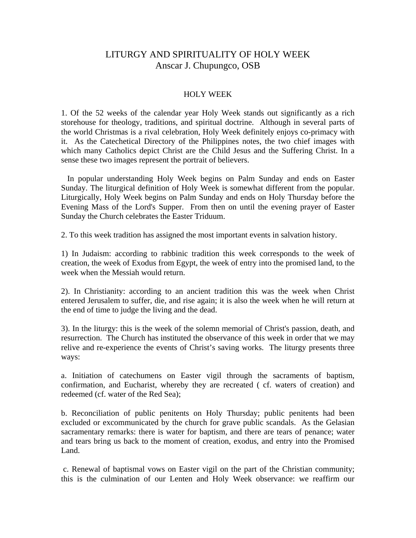## LITURGY AND SPIRITUALITY OF HOLY WEEK Anscar J. Chupungco, OSB

## HOLY WEEK

1. Of the 52 weeks of the calendar year Holy Week stands out significantly as a rich storehouse for theology, traditions, and spiritual doctrine. Although in several parts of the world Christmas is a rival celebration, Holy Week definitely enjoys co-primacy with it. As the Catechetical Directory of the Philippines notes, the two chief images with which many Catholics depict Christ are the Child Jesus and the Suffering Christ. In a sense these two images represent the portrait of believers.

 In popular understanding Holy Week begins on Palm Sunday and ends on Easter Sunday. The liturgical definition of Holy Week is somewhat different from the popular. Liturgically, Holy Week begins on Palm Sunday and ends on Holy Thursday before the Evening Mass of the Lord's Supper. From then on until the evening prayer of Easter Sunday the Church celebrates the Easter Triduum.

2. To this week tradition has assigned the most important events in salvation history.

1) In Judaism: according to rabbinic tradition this week corresponds to the week of creation, the week of Exodus from Egypt, the week of entry into the promised land, to the week when the Messiah would return.

2). In Christianity: according to an ancient tradition this was the week when Christ entered Jerusalem to suffer, die, and rise again; it is also the week when he will return at the end of time to judge the living and the dead.

3). In the liturgy: this is the week of the solemn memorial of Christ's passion, death, and resurrection. The Church has instituted the observance of this week in order that we may relive and re-experience the events of Christ's saving works. The liturgy presents three ways:

a. Initiation of catechumens on Easter vigil through the sacraments of baptism, confirmation, and Eucharist, whereby they are recreated ( cf. waters of creation) and redeemed (cf. water of the Red Sea);

b. Reconciliation of public penitents on Holy Thursday; public penitents had been excluded or excommunicated by the church for grave public scandals. As the Gelasian sacramentary remarks: there is water for baptism, and there are tears of penance; water and tears bring us back to the moment of creation, exodus, and entry into the Promised Land.

 c. Renewal of baptismal vows on Easter vigil on the part of the Christian community; this is the culmination of our Lenten and Holy Week observance: we reaffirm our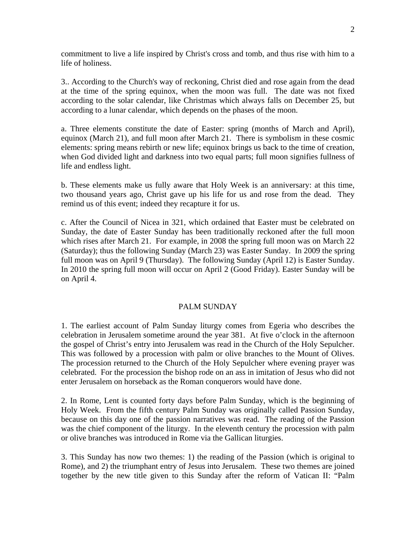commitment to live a life inspired by Christ's cross and tomb, and thus rise with him to a life of holiness.

3.. According to the Church's way of reckoning, Christ died and rose again from the dead at the time of the spring equinox, when the moon was full. The date was not fixed according to the solar calendar, like Christmas which always falls on December 25, but according to a lunar calendar, which depends on the phases of the moon.

a. Three elements constitute the date of Easter: spring (months of March and April), equinox (March 21), and full moon after March 21. There is symbolism in these cosmic elements: spring means rebirth or new life; equinox brings us back to the time of creation, when God divided light and darkness into two equal parts; full moon signifies fullness of life and endless light.

b. These elements make us fully aware that Holy Week is an anniversary: at this time, two thousand years ago, Christ gave up his life for us and rose from the dead. They remind us of this event; indeed they recapture it for us.

c. After the Council of Nicea in 321, which ordained that Easter must be celebrated on Sunday, the date of Easter Sunday has been traditionally reckoned after the full moon which rises after March 21. For example, in 2008 the spring full moon was on March 22 (Saturday); thus the following Sunday (March 23) was Easter Sunday. In 2009 the spring full moon was on April 9 (Thursday). The following Sunday (April 12) is Easter Sunday. In 2010 the spring full moon will occur on April 2 (Good Friday). Easter Sunday will be on April 4.

## PALM SUNDAY

1. The earliest account of Palm Sunday liturgy comes from Egeria who describes the celebration in Jerusalem sometime around the year 381. At five o'clock in the afternoon the gospel of Christ's entry into Jerusalem was read in the Church of the Holy Sepulcher. This was followed by a procession with palm or olive branches to the Mount of Olives. The procession returned to the Church of the Holy Sepulcher where evening prayer was celebrated. For the procession the bishop rode on an ass in imitation of Jesus who did not enter Jerusalem on horseback as the Roman conquerors would have done.

2. In Rome, Lent is counted forty days before Palm Sunday, which is the beginning of Holy Week. From the fifth century Palm Sunday was originally called Passion Sunday, because on this day one of the passion narratives was read. The reading of the Passion was the chief component of the liturgy. In the eleventh century the procession with palm or olive branches was introduced in Rome via the Gallican liturgies.

3. This Sunday has now two themes: 1) the reading of the Passion (which is original to Rome), and 2) the triumphant entry of Jesus into Jerusalem. These two themes are joined together by the new title given to this Sunday after the reform of Vatican II: "Palm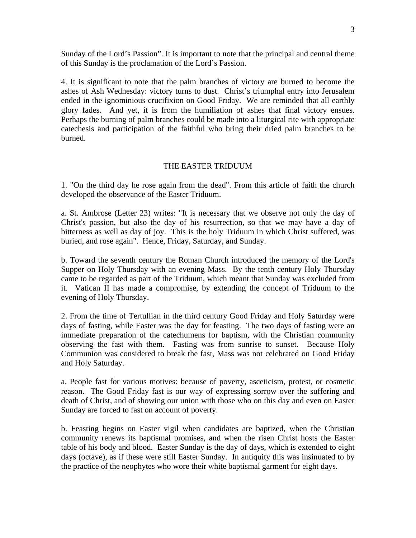Sunday of the Lord's Passion". It is important to note that the principal and central theme of this Sunday is the proclamation of the Lord's Passion.

4. It is significant to note that the palm branches of victory are burned to become the ashes of Ash Wednesday: victory turns to dust. Christ's triumphal entry into Jerusalem ended in the ignominious crucifixion on Good Friday. We are reminded that all earthly glory fades. And yet, it is from the humiliation of ashes that final victory ensues. Perhaps the burning of palm branches could be made into a liturgical rite with appropriate catechesis and participation of the faithful who bring their dried palm branches to be burned.

#### THE EASTER TRIDUUM

1. "On the third day he rose again from the dead". From this article of faith the church developed the observance of the Easter Triduum.

a. St. Ambrose (Letter 23) writes: "It is necessary that we observe not only the day of Christ's passion, but also the day of his resurrection, so that we may have a day of bitterness as well as day of joy. This is the holy Triduum in which Christ suffered, was buried, and rose again". Hence, Friday, Saturday, and Sunday.

b. Toward the seventh century the Roman Church introduced the memory of the Lord's Supper on Holy Thursday with an evening Mass. By the tenth century Holy Thursday came to be regarded as part of the Triduum, which meant that Sunday was excluded from it. Vatican II has made a compromise, by extending the concept of Triduum to the evening of Holy Thursday.

2. From the time of Tertullian in the third century Good Friday and Holy Saturday were days of fasting, while Easter was the day for feasting. The two days of fasting were an immediate preparation of the catechumens for baptism, with the Christian community observing the fast with them. Fasting was from sunrise to sunset. Because Holy Communion was considered to break the fast, Mass was not celebrated on Good Friday and Holy Saturday.

a. People fast for various motives: because of poverty, asceticism, protest, or cosmetic reason. The Good Friday fast is our way of expressing sorrow over the suffering and death of Christ, and of showing our union with those who on this day and even on Easter Sunday are forced to fast on account of poverty.

b. Feasting begins on Easter vigil when candidates are baptized, when the Christian community renews its baptismal promises, and when the risen Christ hosts the Easter table of his body and blood. Easter Sunday is the day of days, which is extended to eight days (octave), as if these were still Easter Sunday. In antiquity this was insinuated to by the practice of the neophytes who wore their white baptismal garment for eight days.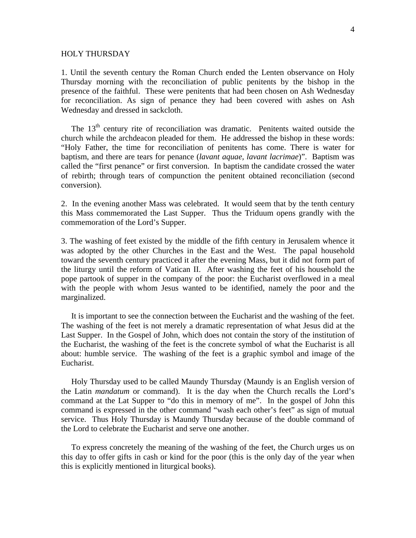#### HOLY THURSDAY

1. Until the seventh century the Roman Church ended the Lenten observance on Holy Thursday morning with the reconciliation of public penitents by the bishop in the presence of the faithful. These were penitents that had been chosen on Ash Wednesday for reconciliation. As sign of penance they had been covered with ashes on Ash Wednesday and dressed in sackcloth.

The  $13<sup>th</sup>$  century rite of reconciliation was dramatic. Penitents waited outside the church while the archdeacon pleaded for them. He addressed the bishop in these words: "Holy Father, the time for reconciliation of penitents has come. There is water for baptism, and there are tears for penance (*lavant aquae, lavant lacrimae*)". Baptism was called the "first penance" or first conversion. In baptism the candidate crossed the water of rebirth; through tears of compunction the penitent obtained reconciliation (second conversion).

2. In the evening another Mass was celebrated. It would seem that by the tenth century this Mass commemorated the Last Supper. Thus the Triduum opens grandly with the commemoration of the Lord's Supper.

3. The washing of feet existed by the middle of the fifth century in Jerusalem whence it was adopted by the other Churches in the East and the West. The papal household toward the seventh century practiced it after the evening Mass, but it did not form part of the liturgy until the reform of Vatican II. After washing the feet of his household the pope partook of supper in the company of the poor: the Eucharist overflowed in a meal with the people with whom Jesus wanted to be identified, namely the poor and the marginalized.

 It is important to see the connection between the Eucharist and the washing of the feet. The washing of the feet is not merely a dramatic representation of what Jesus did at the Last Supper. In the Gospel of John, which does not contain the story of the institution of the Eucharist, the washing of the feet is the concrete symbol of what the Eucharist is all about: humble service. The washing of the feet is a graphic symbol and image of the Eucharist.

 Holy Thursday used to be called Maundy Thursday (Maundy is an English version of the Latin *mandatum* or command). It is the day when the Church recalls the Lord's command at the Lat Supper to "do this in memory of me". In the gospel of John this command is expressed in the other command "wash each other's feet" as sign of mutual service. Thus Holy Thursday is Maundy Thursday because of the double command of the Lord to celebrate the Eucharist and serve one another.

 To express concretely the meaning of the washing of the feet, the Church urges us on this day to offer gifts in cash or kind for the poor (this is the only day of the year when this is explicitly mentioned in liturgical books).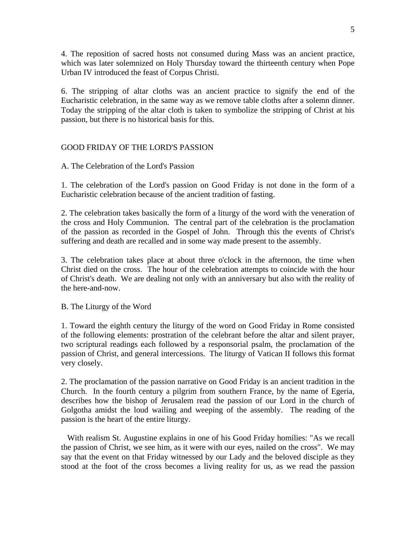4. The reposition of sacred hosts not consumed during Mass was an ancient practice, which was later solemnized on Holy Thursday toward the thirteenth century when Pope Urban IV introduced the feast of Corpus Christi.

6. The stripping of altar cloths was an ancient practice to signify the end of the Eucharistic celebration, in the same way as we remove table cloths after a solemn dinner. Today the stripping of the altar cloth is taken to symbolize the stripping of Christ at his passion, but there is no historical basis for this.

## GOOD FRIDAY OF THE LORD'S PASSION

## A. The Celebration of the Lord's Passion

1. The celebration of the Lord's passion on Good Friday is not done in the form of a Eucharistic celebration because of the ancient tradition of fasting.

2. The celebration takes basically the form of a liturgy of the word with the veneration of the cross and Holy Communion. The central part of the celebration is the proclamation of the passion as recorded in the Gospel of John. Through this the events of Christ's suffering and death are recalled and in some way made present to the assembly.

3. The celebration takes place at about three o'clock in the afternoon, the time when Christ died on the cross. The hour of the celebration attempts to coincide with the hour of Christ's death. We are dealing not only with an anniversary but also with the reality of the here-and-now.

## B. The Liturgy of the Word

1. Toward the eighth century the liturgy of the word on Good Friday in Rome consisted of the following elements: prostration of the celebrant before the altar and silent prayer, two scriptural readings each followed by a responsorial psalm, the proclamation of the passion of Christ, and general intercessions. The liturgy of Vatican II follows this format very closely.

2. The proclamation of the passion narrative on Good Friday is an ancient tradition in the Church. In the fourth century a pilgrim from southern France, by the name of Egeria, describes how the bishop of Jerusalem read the passion of our Lord in the church of Golgotha amidst the loud wailing and weeping of the assembly. The reading of the passion is the heart of the entire liturgy.

 With realism St. Augustine explains in one of his Good Friday homilies: "As we recall the passion of Christ, we see him, as it were with our eyes, nailed on the cross". We may say that the event on that Friday witnessed by our Lady and the beloved disciple as they stood at the foot of the cross becomes a living reality for us, as we read the passion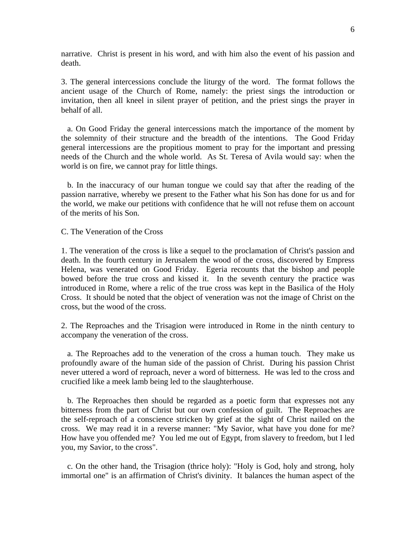narrative. Christ is present in his word, and with him also the event of his passion and death.

3. The general intercessions conclude the liturgy of the word. The format follows the ancient usage of the Church of Rome, namely: the priest sings the introduction or invitation, then all kneel in silent prayer of petition, and the priest sings the prayer in behalf of all.

 a. On Good Friday the general intercessions match the importance of the moment by the solemnity of their structure and the breadth of the intentions. The Good Friday general intercessions are the propitious moment to pray for the important and pressing needs of the Church and the whole world. As St. Teresa of Avila would say: when the world is on fire, we cannot pray for little things.

 b. In the inaccuracy of our human tongue we could say that after the reading of the passion narrative, whereby we present to the Father what his Son has done for us and for the world, we make our petitions with confidence that he will not refuse them on account of the merits of his Son.

C. The Veneration of the Cross

1. The veneration of the cross is like a sequel to the proclamation of Christ's passion and death. In the fourth century in Jerusalem the wood of the cross, discovered by Empress Helena, was venerated on Good Friday. Egeria recounts that the bishop and people bowed before the true cross and kissed it. In the seventh century the practice was introduced in Rome, where a relic of the true cross was kept in the Basilica of the Holy Cross. It should be noted that the object of veneration was not the image of Christ on the cross, but the wood of the cross.

2. The Reproaches and the Trisagion were introduced in Rome in the ninth century to accompany the veneration of the cross.

 a. The Reproaches add to the veneration of the cross a human touch. They make us profoundly aware of the human side of the passion of Christ. During his passion Christ never uttered a word of reproach, never a word of bitterness. He was led to the cross and crucified like a meek lamb being led to the slaughterhouse.

 b. The Reproaches then should be regarded as a poetic form that expresses not any bitterness from the part of Christ but our own confession of guilt. The Reproaches are the self-reproach of a conscience stricken by grief at the sight of Christ nailed on the cross. We may read it in a reverse manner: "My Savior, what have you done for me? How have you offended me? You led me out of Egypt, from slavery to freedom, but I led you, my Savior, to the cross".

 c. On the other hand, the Trisagion (thrice holy): "Holy is God, holy and strong, holy immortal one" is an affirmation of Christ's divinity. It balances the human aspect of the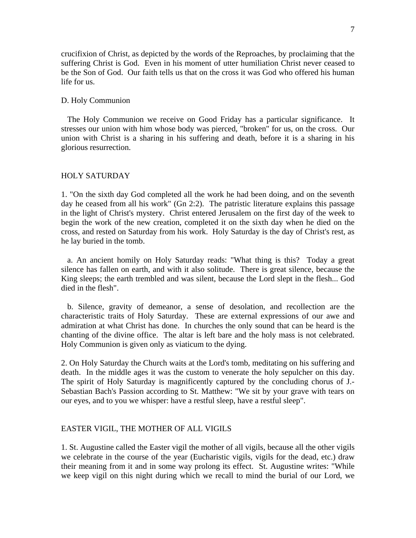crucifixion of Christ, as depicted by the words of the Reproaches, by proclaiming that the suffering Christ is God. Even in his moment of utter humiliation Christ never ceased to be the Son of God. Our faith tells us that on the cross it was God who offered his human life for us.

## D. Holy Communion

 The Holy Communion we receive on Good Friday has a particular significance. It stresses our union with him whose body was pierced, "broken" for us, on the cross. Our union with Christ is a sharing in his suffering and death, before it is a sharing in his glorious resurrection.

#### HOLY SATURDAY

1. "On the sixth day God completed all the work he had been doing, and on the seventh day he ceased from all his work" (Gn 2:2). The patristic literature explains this passage in the light of Christ's mystery. Christ entered Jerusalem on the first day of the week to begin the work of the new creation, completed it on the sixth day when he died on the cross, and rested on Saturday from his work. Holy Saturday is the day of Christ's rest, as he lay buried in the tomb.

 a. An ancient homily on Holy Saturday reads: "What thing is this? Today a great silence has fallen on earth, and with it also solitude. There is great silence, because the King sleeps; the earth trembled and was silent, because the Lord slept in the flesh... God died in the flesh".

 b. Silence, gravity of demeanor, a sense of desolation, and recollection are the characteristic traits of Holy Saturday. These are external expressions of our awe and admiration at what Christ has done. In churches the only sound that can be heard is the chanting of the divine office. The altar is left bare and the holy mass is not celebrated. Holy Communion is given only as viaticum to the dying.

2. On Holy Saturday the Church waits at the Lord's tomb, meditating on his suffering and death. In the middle ages it was the custom to venerate the holy sepulcher on this day. The spirit of Holy Saturday is magnificently captured by the concluding chorus of J.- Sebastian Bach's Passion according to St. Matthew: "We sit by your grave with tears on our eyes, and to you we whisper: have a restful sleep, have a restful sleep".

#### EASTER VIGIL, THE MOTHER OF ALL VIGILS

1. St. Augustine called the Easter vigil the mother of all vigils, because all the other vigils we celebrate in the course of the year (Eucharistic vigils, vigils for the dead, etc.) draw their meaning from it and in some way prolong its effect. St. Augustine writes: "While we keep vigil on this night during which we recall to mind the burial of our Lord, we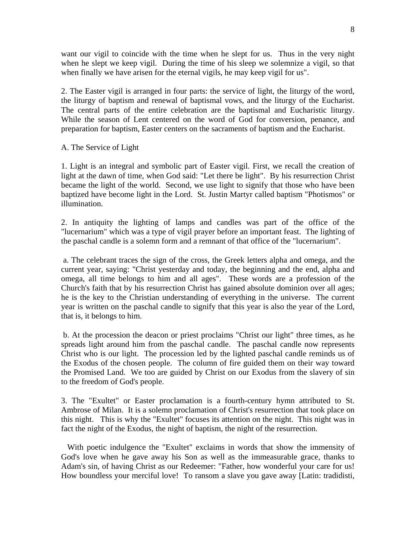want our vigil to coincide with the time when he slept for us. Thus in the very night when he slept we keep vigil. During the time of his sleep we solemnize a vigil, so that when finally we have arisen for the eternal vigils, he may keep vigil for us".

2. The Easter vigil is arranged in four parts: the service of light, the liturgy of the word, the liturgy of baptism and renewal of baptismal vows, and the liturgy of the Eucharist. The central parts of the entire celebration are the baptismal and Eucharistic liturgy. While the season of Lent centered on the word of God for conversion, penance, and preparation for baptism, Easter centers on the sacraments of baptism and the Eucharist.

#### A. The Service of Light

1. Light is an integral and symbolic part of Easter vigil. First, we recall the creation of light at the dawn of time, when God said: "Let there be light". By his resurrection Christ became the light of the world. Second, we use light to signify that those who have been baptized have become light in the Lord. St. Justin Martyr called baptism "Photismos" or illumination.

2. In antiquity the lighting of lamps and candles was part of the office of the "lucernarium" which was a type of vigil prayer before an important feast. The lighting of the paschal candle is a solemn form and a remnant of that office of the "lucernarium".

 a. The celebrant traces the sign of the cross, the Greek letters alpha and omega, and the current year, saying: "Christ yesterday and today, the beginning and the end, alpha and omega, all time belongs to him and all ages". These words are a profession of the Church's faith that by his resurrection Christ has gained absolute dominion over all ages; he is the key to the Christian understanding of everything in the universe. The current year is written on the paschal candle to signify that this year is also the year of the Lord, that is, it belongs to him.

 b. At the procession the deacon or priest proclaims "Christ our light" three times, as he spreads light around him from the paschal candle. The paschal candle now represents Christ who is our light. The procession led by the lighted paschal candle reminds us of the Exodus of the chosen people. The column of fire guided them on their way toward the Promised Land. We too are guided by Christ on our Exodus from the slavery of sin to the freedom of God's people.

3. The "Exultet" or Easter proclamation is a fourth-century hymn attributed to St. Ambrose of Milan. It is a solemn proclamation of Christ's resurrection that took place on this night. This is why the "Exultet" focuses its attention on the night. This night was in fact the night of the Exodus, the night of baptism, the night of the resurrection.

 With poetic indulgence the "Exultet" exclaims in words that show the immensity of God's love when he gave away his Son as well as the immeasurable grace, thanks to Adam's sin, of having Christ as our Redeemer: "Father, how wonderful your care for us! How boundless your merciful love! To ransom a slave you gave away [Latin: tradidisti,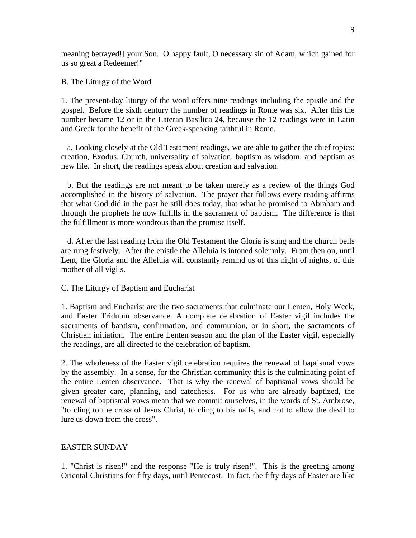meaning betrayed!] your Son. O happy fault, O necessary sin of Adam, which gained for us so great a Redeemer!"

B. The Liturgy of the Word

1. The present-day liturgy of the word offers nine readings including the epistle and the gospel. Before the sixth century the number of readings in Rome was six. After this the number became 12 or in the Lateran Basilica 24, because the 12 readings were in Latin and Greek for the benefit of the Greek-speaking faithful in Rome.

 a. Looking closely at the Old Testament readings, we are able to gather the chief topics: creation, Exodus, Church, universality of salvation, baptism as wisdom, and baptism as new life. In short, the readings speak about creation and salvation.

 b. But the readings are not meant to be taken merely as a review of the things God accomplished in the history of salvation. The prayer that follows every reading affirms that what God did in the past he still does today, that what he promised to Abraham and through the prophets he now fulfills in the sacrament of baptism. The difference is that the fulfillment is more wondrous than the promise itself.

 d. After the last reading from the Old Testament the Gloria is sung and the church bells are rung festively. After the epistle the Alleluia is intoned solemnly. From then on, until Lent, the Gloria and the Alleluia will constantly remind us of this night of nights, of this mother of all vigils.

C. The Liturgy of Baptism and Eucharist

1. Baptism and Eucharist are the two sacraments that culminate our Lenten, Holy Week, and Easter Triduum observance. A complete celebration of Easter vigil includes the sacraments of baptism, confirmation, and communion, or in short, the sacraments of Christian initiation. The entire Lenten season and the plan of the Easter vigil, especially the readings, are all directed to the celebration of baptism.

2. The wholeness of the Easter vigil celebration requires the renewal of baptismal vows by the assembly. In a sense, for the Christian community this is the culminating point of the entire Lenten observance. That is why the renewal of baptismal vows should be given greater care, planning, and catechesis. For us who are already baptized, the renewal of baptismal vows mean that we commit ourselves, in the words of St. Ambrose, "to cling to the cross of Jesus Christ, to cling to his nails, and not to allow the devil to lure us down from the cross".

#### EASTER SUNDAY

1. "Christ is risen!" and the response "He is truly risen!". This is the greeting among Oriental Christians for fifty days, until Pentecost. In fact, the fifty days of Easter are like